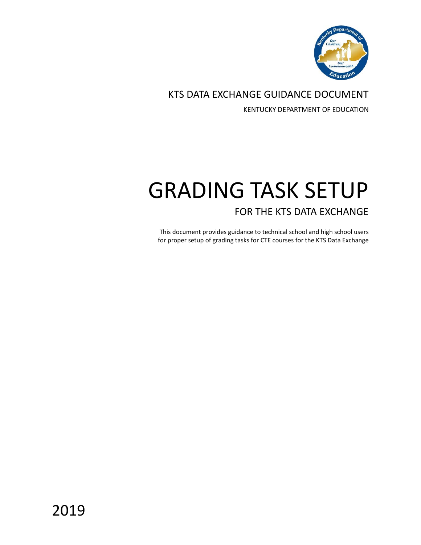

KTS DATA EXCHANGE GUIDANCE DOCUMENT

KENTUCKY DEPARTMENT OF EDUCATION

# GRADING TASK SETUP FOR THE KTS DATA EXCHANGE

This document provides guidance to technical school and high school users for proper setup of grading tasks for CTE courses for the KTS Data Exchange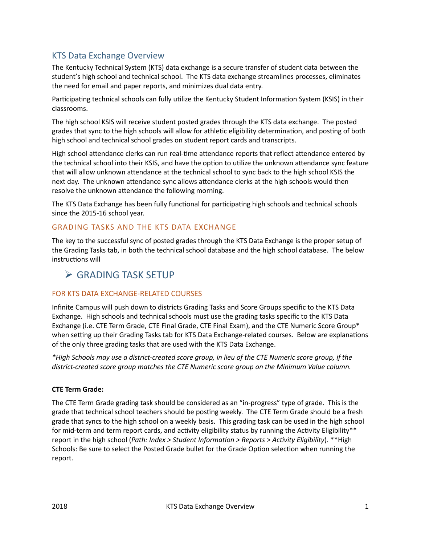# KTS Data Exchange Overview

The Kentucky Technical System (KTS) data exchange is a secure transfer of student data between the student's high school and technical school. The KTS data exchange streamlines processes, eliminates the need for email and paper reports, and minimizes dual data entry.

Participating technical schools can fully utilize the Kentucky Student Information System (KSIS) in their classrooms.

The high school KSIS will receive student posted grades through the KTS data exchange. The posted grades that sync to the high schools will allow for athletic eligibility determination, and posting of both high school and technical school grades on student report cards and transcripts.

High school attendance clerks can run real-time attendance reports that reflect attendance entered by the technical school into their KSIS, and have the option to utilize the unknown attendance sync feature that will allow unknown atendance at the technical school to sync back to the high school KSIS the next day. The unknown attendance sync allows attendance clerks at the high schools would then resolve the unknown attendance the following morning.

The KTS Data Exchange has been fully functional for participating high schools and technical schools since the 2015-16 school year.

## GRADING TASKS AND THE KTS DATA EXCHANGE

The key to the successful sync of posted grades through the KTS Data Exchange is the proper setup of the Grading Tasks tab, in both the technical school database and the high school database. The below instructions will

# GRADING TASK SETUP

## FOR KTS DATA EXCHANGE-RELATED COURSES

Infinite Campus will push down to districts Grading Tasks and Score Groups specific to the KTS Data Exchange. High schools and technical schools must use the grading tasks specific to the KTS Data Exchange (i.e. CTE Term Grade, CTE Final Grade, CTE Final Exam), and the CTE Numeric Score Group\* when setting up their Grading Tasks tab for KTS Data Exchange-related courses. Below are explanations of the only three grading tasks that are used with the KTS Data Exchange.

*\*High Schools may use a district-created score group, in lieu of the CTE Numeric score group, if the district-created score group matches the CTE Numeric score group on the Minimum Value column.*

#### **CTE Term Grade:**

The CTE Term Grade grading task should be considered as an "in-progress" type of grade. This is the grade that technical school teachers should be posting weekly. The CTE Term Grade should be a fresh grade that syncs to the high school on a weekly basis. This grading task can be used in the high school for mid-term and term report cards, and activity eligibility status by running the Activity Eligibility\*\* report in the high school (*Path: Index > Student Information > Reports > Activity Eligibility*). \*\*High Schools: Be sure to select the Posted Grade bullet for the Grade Option selection when running the report.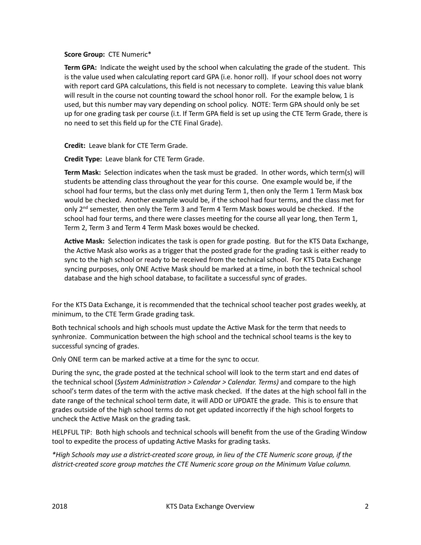**Score Group:** CTE Numeric\*

Term GPA: Indicate the weight used by the school when calculating the grade of the student. This is the value used when calculating report card GPA (i.e. honor roll). If your school does not worry with report card GPA calculations, this field is not necessary to complete. Leaving this value blank will result in the course not counting toward the school honor roll. For the example below, 1 is used, but this number may vary depending on school policy. NOTE: Term GPA should only be set up for one grading task per course (i.t. If Term GPA field is set up using the CTE Term Grade, there is no need to set this field up for the CTE Final Grade).

**Credit:** Leave blank for CTE Term Grade.

**Credit Type:** Leave blank for CTE Term Grade.

**Term Mask:** Selection indicates when the task must be graded. In other words, which term(s) will students be attending class throughout the year for this course. One example would be, if the school had four terms, but the class only met during Term 1, then only the Term 1 Term Mask box would be checked. Another example would be, if the school had four terms, and the class met for only  $2<sup>nd</sup>$  semester, then only the Term 3 and Term 4 Term Mask boxes would be checked. If the school had four terms, and there were classes meeting for the course all year long, then Term 1, Term 2, Term 3 and Term 4 Term Mask boxes would be checked.

Active Mask: Selection indicates the task is open for grade posting. But for the KTS Data Exchange, the Active Mask also works as a trigger that the posted grade for the grading task is either ready to sync to the high school or ready to be received from the technical school. For KTS Data Exchange syncing purposes, only ONE Active Mask should be marked at a time, in both the technical school database and the high school database, to facilitate a successful sync of grades.

For the KTS Data Exchange, it is recommended that the technical school teacher post grades weekly, at minimum, to the CTE Term Grade grading task.

Both technical schools and high schools must update the Active Mask for the term that needs to synhronize. Communication between the high school and the technical school teams is the key to successful syncing of grades.

Only ONE term can be marked active at a time for the sync to occur.

During the sync, the grade posted at the technical school will look to the term start and end dates of the technical school (*System Administration > Calendar > Calendar. Terms)* and compare to the high school's term dates of the term with the active mask checked. If the dates at the high school fall in the date range of the technical school term date, it will ADD or UPDATE the grade. This is to ensure that grades outside of the high school terms do not get updated incorrectly if the high school forgets to uncheck the Active Mask on the grading task.

HELPFUL TIP: Both high schools and technical schools will benefit from the use of the Grading Window tool to expedite the process of updating Active Masks for grading tasks.

*\*High Schools may use a district-created score group, in lieu of the CTE Numeric score group, if the district-created score group matches the CTE Numeric score group on the Minimum Value column.*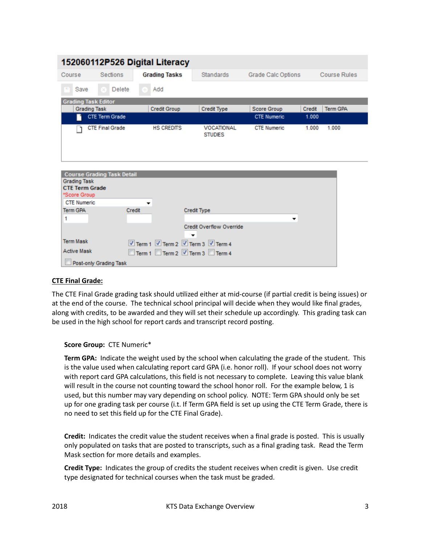| 152060112P526 Digital Literacy               |                                   |                                   |                    |                                     |                    |        |                     |  |  |  |  |  |
|----------------------------------------------|-----------------------------------|-----------------------------------|--------------------|-------------------------------------|--------------------|--------|---------------------|--|--|--|--|--|
| Course                                       | Sections                          | <b>Grading Tasks</b>              |                    | <b>Standards</b>                    | Grade Calc Options |        | <b>Course Rules</b> |  |  |  |  |  |
| Save                                         | Delete                            | Add                               |                    |                                     |                    |        |                     |  |  |  |  |  |
| <b>Grading Task Editor</b>                   |                                   |                                   |                    |                                     |                    |        |                     |  |  |  |  |  |
| <b>Grading Task</b>                          |                                   | <b>Credit Group</b>               |                    | <b>Credit Type</b>                  | <b>Score Group</b> | Credit | <b>Term GPA</b>     |  |  |  |  |  |
|                                              | <b>CTE Term Grade</b>             |                                   |                    |                                     | <b>CTE Numeric</b> | 1.000  |                     |  |  |  |  |  |
|                                              | <b>CTE Final Grade</b>            | <b>HS CREDITS</b>                 |                    | <b>VOCATIONAL</b><br><b>STUDIES</b> | <b>CTE Numeric</b> | 1.000  | 1.000               |  |  |  |  |  |
|                                              |                                   |                                   |                    |                                     |                    |        |                     |  |  |  |  |  |
| <b>Grading Task</b><br><b>CTE Term Grade</b> | <b>Course Grading Task Detail</b> |                                   |                    |                                     |                    |        |                     |  |  |  |  |  |
| *Score Group                                 |                                   |                                   |                    |                                     |                    |        |                     |  |  |  |  |  |
| <b>CTE Numeric</b>                           |                                   |                                   |                    |                                     |                    |        |                     |  |  |  |  |  |
| <b>Term GPA</b>                              |                                   | Credit                            | <b>Credit Type</b> |                                     |                    |        |                     |  |  |  |  |  |
| 1                                            |                                   |                                   |                    |                                     | ▼                  |        |                     |  |  |  |  |  |
|                                              |                                   |                                   |                    | <b>Credit Overflow Override</b>     |                    |        |                     |  |  |  |  |  |
| <b>Term Mask</b>                             |                                   | Term 1 7 Term 2 7 Term 3 7 Term 4 |                    |                                     |                    |        |                     |  |  |  |  |  |
| <b>Active Mask</b>                           |                                   | Term 1 Term 2 7 Term 3 Term 4     |                    |                                     |                    |        |                     |  |  |  |  |  |
| Post-only Grading Task                       |                                   |                                   |                    |                                     |                    |        |                     |  |  |  |  |  |

#### **CTE Final Grade:**

The CTE Final Grade grading task should utilized either at mid-course (if partial credit is being issues) or at the end of the course. The technical school principal will decide when they would like final grades, along with credits, to be awarded and they will set their schedule up accordingly. This grading task can be used in the high school for report cards and transcript record posting.

#### **Score Group:** CTE Numeric\*

**Term GPA:** Indicate the weight used by the school when calculating the grade of the student. This is the value used when calculating report card GPA (i.e. honor roll). If your school does not worry with report card GPA calculations, this field is not necessary to complete. Leaving this value blank will result in the course not counting toward the school honor roll. For the example below, 1 is used, but this number may vary depending on school policy. NOTE: Term GPA should only be set up for one grading task per course (i.t. If Term GPA field is set up using the CTE Term Grade, there is no need to set this field up for the CTE Final Grade).

**Credit:** Indicates the credit value the student receives when a final grade is posted. This is usually only populated on tasks that are posted to transcripts, such as a final grading task. Read the Term Mask section for more details and examples.

**Credit Type:** Indicates the group of credits the student receives when credit is given. Use credit type designated for technical courses when the task must be graded.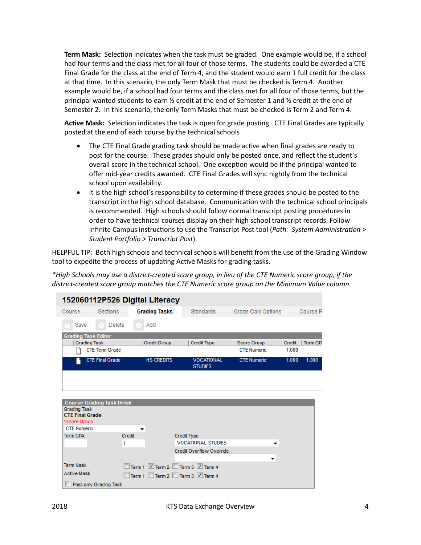**Term Mask:** Selection indicates when the task must be graded. One example would be, if a school had four terms and the class met for all four of those terms. The students could be awarded a CTE Final Grade for the class at the end of Term 4, and the student would earn 1 full credit for the class at that time. In this scenario, the only Term Mask that must be checked is Term 4. Another example would be, if a school had four terms and the class met for all four of those terms, but the principal wanted students to earn  $\frac{1}{2}$  credit at the end of Semester 1 and  $\frac{1}{2}$  credit at the end of Semester 2. In this scenario, the only Term Masks that must be checked is Term 2 and Term 4.

Active Mask: Selection indicates the task is open for grade posting. CTE Final Grades are typically posted at the end of each course by the technical schools

- The CTE Final Grade grading task should be made active when final grades are ready to post for the course. These grades should only be posted once, and reflect the student's overall score in the technical school. One exception would be if the principal wanted to offer mid-year credits awarded. CTE Final Grades will sync nightly from the technical school upon availability.
- It is the high school's responsibility to determine if these grades should be posted to the transcript in the high school database. Communication with the technical school principals is recommended. High schools should follow normal transcript posting procedures in order to have technical courses display on their high school transcript records. Follow Infinite Campus instructions to use the Transcript Post tool (*Path: System Administration > Student Portfolio > Transcript Post*).

HELPFUL TIP: Both high schools and technical schools will benefit from the use of the Grading Window tool to expedite the process of updating Active Masks for grading tasks.

*\*High Schools may use a district-created score group, in lieu of the CTE Numeric score group, if the district-created score group matches the CTE Numeric score group on the Minimum Value column.*

| 152060112P526 Digital Literacy                                |                                   |                      |                                                                  |                    |        |                     |  |  |  |  |  |
|---------------------------------------------------------------|-----------------------------------|----------------------|------------------------------------------------------------------|--------------------|--------|---------------------|--|--|--|--|--|
| Course                                                        | Sections                          | <b>Grading Tasks</b> | <b>Standards</b>                                                 | Grade Calc Options |        | Course <sub>F</sub> |  |  |  |  |  |
| Save                                                          | <b>Delete</b>                     | Add                  |                                                                  |                    |        |                     |  |  |  |  |  |
| <b>Grading Task Editor</b><br><b>Grading Task</b>             |                                   | <b>Credit Group</b>  | <b>Credit Type</b>                                               | <b>Score Group</b> | Credit | <b>Term GP</b>      |  |  |  |  |  |
|                                                               | <b>CTE Term Grade</b>             |                      |                                                                  | <b>CTE Numeric</b> | 1.000  |                     |  |  |  |  |  |
|                                                               | <b>CTE Final Grade</b>            | <b>HS CREDITS</b>    | <b>VOCATIONAL</b><br><b>STUDIES</b>                              | <b>CTE Numeric</b> | 1.000  | 1.000               |  |  |  |  |  |
| <b>Grading Task</b><br><b>CTE Final Grade</b><br>*Score Group | <b>Course Grading Task Detail</b> |                      |                                                                  |                    |        |                     |  |  |  |  |  |
| <b>CTE Numeric</b>                                            |                                   | ▼                    |                                                                  |                    |        |                     |  |  |  |  |  |
| <b>Term GPA</b>                                               | 1                                 | Credit               | <b>Credit Type</b><br><b>VOCATIONAL STUDIES</b>                  | ▼                  |        |                     |  |  |  |  |  |
|                                                               |                                   |                      | <b>Credit Overflow Override</b>                                  | <b>v</b>           |        |                     |  |  |  |  |  |
| <b>Term Mask</b><br><b>Active Mask</b>                        |                                   |                      | Term 1 7 Term 2 Term 3 7 Term 4<br>Term 1 Term 2 Term 3 V Term 4 |                    |        |                     |  |  |  |  |  |
|                                                               | Post-only Grading Task            |                      |                                                                  |                    |        |                     |  |  |  |  |  |